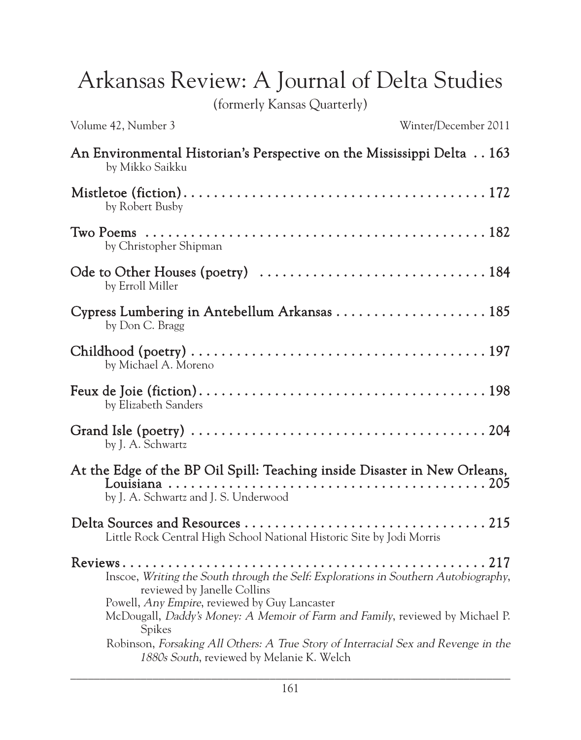Arkansas Review: A Journal of Delta Studies

(formerly Kansas Quarterly)

Volume 42, Number 3 Winter/December 2011

| An Environmental Historian's Perspective on the Mississippi Delta 163<br>by Mikko Saikku                                                                                    |
|-----------------------------------------------------------------------------------------------------------------------------------------------------------------------------|
| by Robert Busby                                                                                                                                                             |
| by Christopher Shipman                                                                                                                                                      |
| by Erroll Miller                                                                                                                                                            |
| by Don C. Bragg                                                                                                                                                             |
| by Michael A. Moreno                                                                                                                                                        |
| by Elizabeth Sanders                                                                                                                                                        |
| by J. A. Schwartz                                                                                                                                                           |
| At the Edge of the BP Oil Spill: Teaching inside Disaster in New Orleans,<br>by J. A. Schwartz and J. S. Underwood                                                          |
| Little Rock Central High School National Historic Site by Jodi Morris                                                                                                       |
| Inscoe, Writing the South through the Self: Explorations in Southern Autobiography,<br>reviewed by Janelle Collins<br>Powell, <i>Any Empire</i> , reviewed by Guy Lancaster |
| McDougall, Daddy's Money: A Memoir of Farm and Family, reviewed by Michael P.<br>Spikes                                                                                     |
| Robinson, Forsaking All Others: A True Story of Interracial Sex and Revenge in the<br>1880s South, reviewed by Melanie K. Welch                                             |